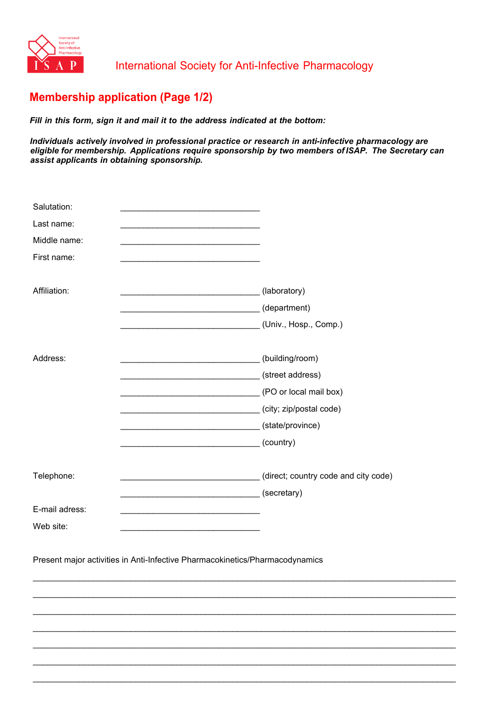

## **Membership application (Page 1/2)**

*Fill in this form, sign it and mail it to the address indicated at the bottom:* 

*Individuals actively involved in professional practice or research in anti-infective pharmacology are eligible for membership. Applications require sponsorship by two members of ISAP. The Secretary can assist applicants in obtaining sponsorship.* 

| Salutation:<br>Last name:<br>Middle name:<br>First name: | the control of the control of the control of the control of the control of                             |  |
|----------------------------------------------------------|--------------------------------------------------------------------------------------------------------|--|
|                                                          |                                                                                                        |  |
| Affiliation:                                             | (laboratory)                                                                                           |  |
|                                                          | (department) (department)                                                                              |  |
|                                                          | (Univ., Hosp., Comp.)                                                                                  |  |
| Address:                                                 | (street address)<br>(PO or local mail box)<br>(city; zip/postal code)<br>(state/province)<br>(country) |  |
| Telephone:                                               | (direct; country code and city code)                                                                   |  |
|                                                          | (secretary)<br><u> 1989 - Johann Barbara, martin din bashkar (</u>                                     |  |
| E-mail adress:                                           |                                                                                                        |  |
| Web site:                                                |                                                                                                        |  |

\_\_\_\_\_\_\_\_\_\_\_\_\_\_\_\_\_\_\_\_\_\_\_\_\_\_\_\_\_\_\_\_\_\_\_\_\_\_\_\_\_\_\_\_\_\_\_\_\_\_\_\_\_\_\_\_\_\_\_\_\_\_\_\_\_\_\_\_\_\_\_\_\_\_\_\_\_\_\_\_\_\_\_\_\_\_\_\_\_\_\_

\_\_\_\_\_\_\_\_\_\_\_\_\_\_\_\_\_\_\_\_\_\_\_\_\_\_\_\_\_\_\_\_\_\_\_\_\_\_\_\_\_\_\_\_\_\_\_\_\_\_\_\_\_\_\_\_\_\_\_\_\_\_\_\_\_\_\_\_\_\_\_\_\_\_\_\_\_\_\_\_\_\_\_\_\_\_\_\_\_\_\_

\_\_\_\_\_\_\_\_\_\_\_\_\_\_\_\_\_\_\_\_\_\_\_\_\_\_\_\_\_\_\_\_\_\_\_\_\_\_\_\_\_\_\_\_\_\_\_\_\_\_\_\_\_\_\_\_\_\_\_\_\_\_\_\_\_\_\_\_\_\_\_\_\_\_\_\_\_\_\_\_\_\_\_\_\_\_\_\_\_\_\_

\_\_\_\_\_\_\_\_\_\_\_\_\_\_\_\_\_\_\_\_\_\_\_\_\_\_\_\_\_\_\_\_\_\_\_\_\_\_\_\_\_\_\_\_\_\_\_\_\_\_\_\_\_\_\_\_\_\_\_\_\_\_\_\_\_\_\_\_\_\_\_\_\_\_\_\_\_\_\_\_\_\_\_\_\_\_\_\_\_\_\_

\_\_\_\_\_\_\_\_\_\_\_\_\_\_\_\_\_\_\_\_\_\_\_\_\_\_\_\_\_\_\_\_\_\_\_\_\_\_\_\_\_\_\_\_\_\_\_\_\_\_\_\_\_\_\_\_\_\_\_\_\_\_\_\_\_\_\_\_\_\_\_\_\_\_\_\_\_\_\_\_\_\_\_\_\_\_\_\_\_\_\_

\_\_\_\_\_\_\_\_\_\_\_\_\_\_\_\_\_\_\_\_\_\_\_\_\_\_\_\_\_\_\_\_\_\_\_\_\_\_\_\_\_\_\_\_\_\_\_\_\_\_\_\_\_\_\_\_\_\_\_\_\_\_\_\_\_\_\_\_\_\_\_\_\_\_\_\_\_\_\_\_\_\_\_\_\_\_\_\_\_\_\_

\_\_\_\_\_\_\_\_\_\_\_\_\_\_\_\_\_\_\_\_\_\_\_\_\_\_\_\_\_\_\_\_\_\_\_\_\_\_\_\_\_\_\_\_\_\_\_\_\_\_\_\_\_\_\_\_\_\_\_\_\_\_\_\_\_\_\_\_\_\_\_\_\_\_\_\_\_\_\_\_\_\_\_\_\_\_\_\_\_\_\_

Present major activities in Anti-Infective Pharmacokinetics/Pharmacodynamics